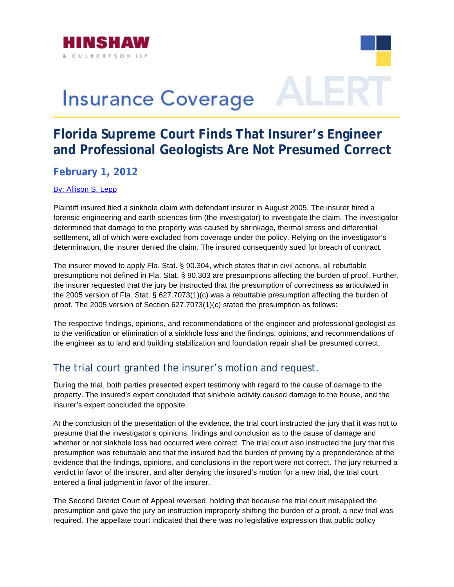

# **Insurance Coverage**

# **Florida Supreme Court Finds That Insurer's Engineer and Professional Geologists Are Not Presumed Correct**

# **February 1, 2012**

#### [By: Allison S. Lepp](http://www.hinshawlaw.com/alepp/)

Plaintiff insured filed a sinkhole claim with defendant insurer in August 2005. The insurer hired a forensic engineering and earth sciences firm (the investigator) to investigate the claim. The investigator determined that damage to the property was caused by shrinkage, thermal stress and differential settlement, all of which were excluded from coverage under the policy. Relying on the investigator's determination, the insurer denied the claim. The insured consequently sued for breach of contract.

The insurer moved to apply Fla. Stat. § 90.304, which states that in civil actions, all rebuttable presumptions not defined in Fla. Stat. § 90.303 are presumptions affecting the burden of proof. Further, the insurer requested that the jury be instructed that the presumption of correctness as articulated in the 2005 version of Fla. Stat. § 627.7073(1)(c) was a rebuttable presumption affecting the burden of proof. The 2005 version of Section 627.7073(1)(c) stated the presumption as follows:

The respective findings, opinions, and recommendations of the engineer and professional geologist as to the verification or elimination of a sinkhole loss and the findings, opinions, and recommendations of the engineer as to land and building stabilization and foundation repair shall be presumed correct.

## The trial court granted the insurer's motion and request.

During the trial, both parties presented expert testimony with regard to the cause of damage to the property. The insured's expert concluded that sinkhole activity caused damage to the house, and the insurer's expert concluded the opposite.

At the conclusion of the presentation of the evidence, the trial court instructed the jury that it was not to presume that the investigator's opinions, findings and conclusion as to the cause of damage and whether or not sinkhole loss had occurred were correct. The trial court also instructed the jury that this presumption was rebuttable and that the insured had the burden of proving by a preponderance of the evidence that the findings, opinions, and conclusions in the report were not correct. The jury returned a verdict in favor of the insurer, and after denying the insured's motion for a new trial, the trial court entered a final judgment in favor of the insurer.

The Second District Court of Appeal reversed, holding that because the trial court misapplied the presumption and gave the jury an instruction improperly shifting the burden of a proof, a new trial was required. The appellate court indicated that there was no legislative expression that public policy